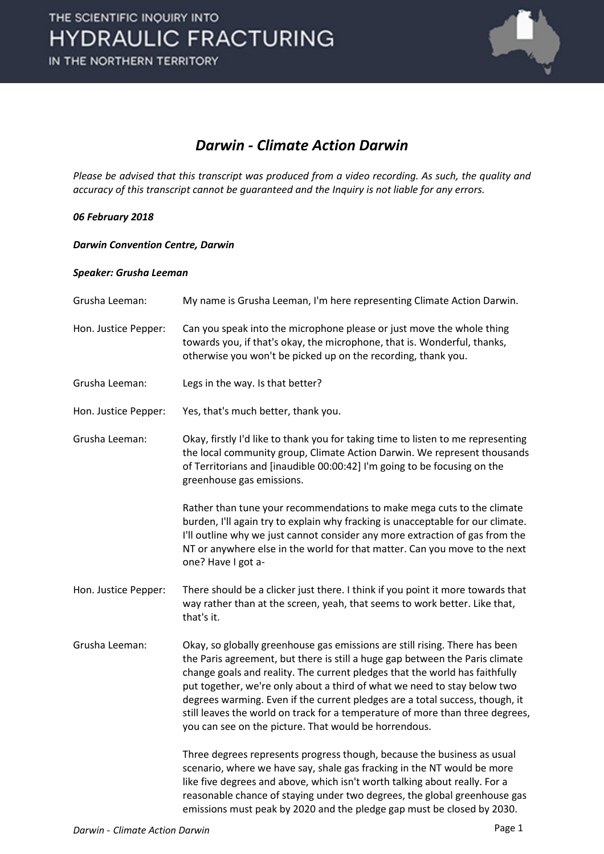

## *Darwin - Climate Action Darwin*

*Please be advised that this transcript was produced from a video recording. As such, the quality and accuracy of this transcript cannot be guaranteed and the Inquiry is not liable for any errors.*

### *06 February 2018*

#### *Darwin Convention Centre, Darwin*

#### *Speaker: Grusha Leeman*

| Grusha Leeman:       | My name is Grusha Leeman, I'm here representing Climate Action Darwin.                                                                                                                                                                                                                                                                                                                                                                                                                                                                           |
|----------------------|--------------------------------------------------------------------------------------------------------------------------------------------------------------------------------------------------------------------------------------------------------------------------------------------------------------------------------------------------------------------------------------------------------------------------------------------------------------------------------------------------------------------------------------------------|
| Hon. Justice Pepper: | Can you speak into the microphone please or just move the whole thing<br>towards you, if that's okay, the microphone, that is. Wonderful, thanks,<br>otherwise you won't be picked up on the recording, thank you.                                                                                                                                                                                                                                                                                                                               |
| Grusha Leeman:       | Legs in the way. Is that better?                                                                                                                                                                                                                                                                                                                                                                                                                                                                                                                 |
| Hon. Justice Pepper: | Yes, that's much better, thank you.                                                                                                                                                                                                                                                                                                                                                                                                                                                                                                              |
| Grusha Leeman:       | Okay, firstly I'd like to thank you for taking time to listen to me representing<br>the local community group, Climate Action Darwin. We represent thousands<br>of Territorians and [inaudible 00:00:42] I'm going to be focusing on the<br>greenhouse gas emissions.                                                                                                                                                                                                                                                                            |
|                      | Rather than tune your recommendations to make mega cuts to the climate<br>burden, I'll again try to explain why fracking is unacceptable for our climate.<br>I'll outline why we just cannot consider any more extraction of gas from the<br>NT or anywhere else in the world for that matter. Can you move to the next<br>one? Have I got a-                                                                                                                                                                                                    |
| Hon. Justice Pepper: | There should be a clicker just there. I think if you point it more towards that<br>way rather than at the screen, yeah, that seems to work better. Like that,<br>that's it.                                                                                                                                                                                                                                                                                                                                                                      |
| Grusha Leeman:       | Okay, so globally greenhouse gas emissions are still rising. There has been<br>the Paris agreement, but there is still a huge gap between the Paris climate<br>change goals and reality. The current pledges that the world has faithfully<br>put together, we're only about a third of what we need to stay below two<br>degrees warming. Even if the current pledges are a total success, though, it<br>still leaves the world on track for a temperature of more than three degrees,<br>you can see on the picture. That would be horrendous. |
|                      | Three degrees represents progress though, because the business as usual<br>scenario, where we have say, shale gas fracking in the NT would be more<br>like five degrees and above, which isn't worth talking about really. For a<br>reasonable chance of staying under two degrees, the global greenhouse gas<br>emissions must peak by 2020 and the pledge gap must be closed by 2030.                                                                                                                                                          |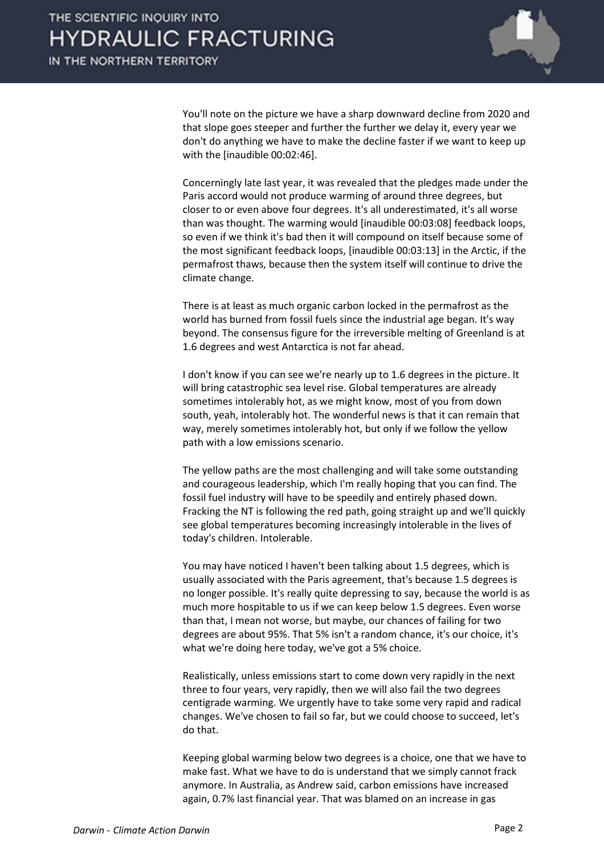

You'll note on the picture we have a sharp downward decline from 2020 and that slope goes steeper and further the further we delay it, every year we don't do anything we have to make the decline faster if we want to keep up with the [inaudible 00:02:46].

Concerningly late last year, it was revealed that the pledges made under the Paris accord would not produce warming of around three degrees, but closer to or even above four degrees. It's all underestimated, it's all worse than was thought. The warming would [inaudible 00:03:08] feedback loops, so even if we think it's bad then it will compound on itself because some of the most significant feedback loops, [inaudible 00:03:13] in the Arctic, if the permafrost thaws, because then the system itself will continue to drive the climate change.

There is at least as much organic carbon locked in the permafrost as the world has burned from fossil fuels since the industrial age began. It's way beyond. The consensus figure for the irreversible melting of Greenland is at 1.6 degrees and west Antarctica is not far ahead.

I don't know if you can see we're nearly up to 1.6 degrees in the picture. It will bring catastrophic sea level rise. Global temperatures are already sometimes intolerably hot, as we might know, most of you from down south, yeah, intolerably hot. The wonderful news is that it can remain that way, merely sometimes intolerably hot, but only if we follow the yellow path with a low emissions scenario.

The yellow paths are the most challenging and will take some outstanding and courageous leadership, which I'm really hoping that you can find. The fossil fuel industry will have to be speedily and entirely phased down. Fracking the NT is following the red path, going straight up and we'll quickly see global temperatures becoming increasingly intolerable in the lives of today's children. Intolerable.

You may have noticed I haven't been talking about 1.5 degrees, which is usually associated with the Paris agreement, that's because 1.5 degrees is no longer possible. It's really quite depressing to say, because the world is as much more hospitable to us if we can keep below 1.5 degrees. Even worse than that, I mean not worse, but maybe, our chances of failing for two degrees are about 95%. That 5% isn't a random chance, it's our choice, it's what we're doing here today, we've got a 5% choice.

Realistically, unless emissions start to come down very rapidly in the next three to four years, very rapidly, then we will also fail the two degrees centigrade warming. We urgently have to take some very rapid and radical changes. We've chosen to fail so far, but we could choose to succeed, let's do that.

Keeping global warming below two degrees is a choice, one that we have to make fast. What we have to do is understand that we simply cannot frack anymore. In Australia, as Andrew said, carbon emissions have increased again, 0.7% last financial year. That was blamed on an increase in gas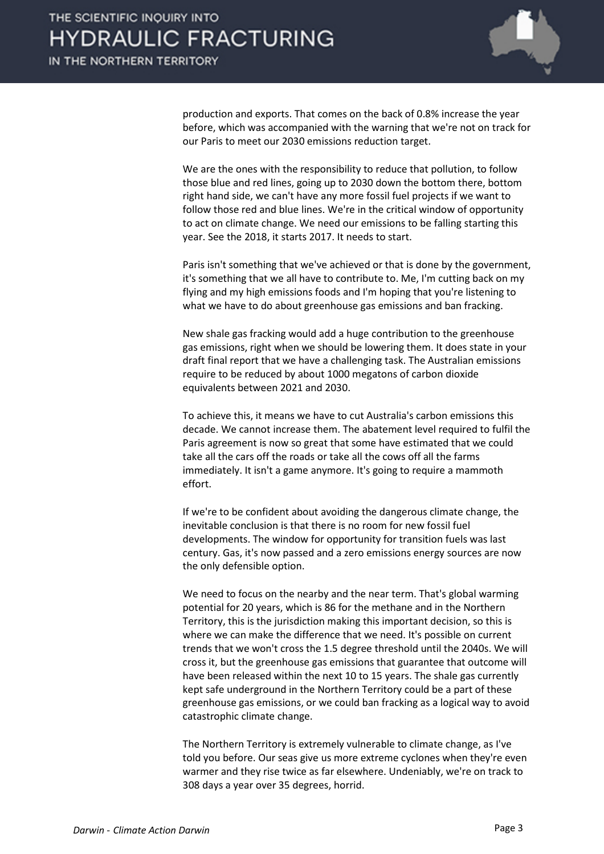

production and exports. That comes on the back of 0.8% increase the year before, which was accompanied with the warning that we're not on track for our Paris to meet our 2030 emissions reduction target.

We are the ones with the responsibility to reduce that pollution, to follow those blue and red lines, going up to 2030 down the bottom there, bottom right hand side, we can't have any more fossil fuel projects if we want to follow those red and blue lines. We're in the critical window of opportunity to act on climate change. We need our emissions to be falling starting this year. See the 2018, it starts 2017. It needs to start.

Paris isn't something that we've achieved or that is done by the government, it's something that we all have to contribute to. Me, I'm cutting back on my flying and my high emissions foods and I'm hoping that you're listening to what we have to do about greenhouse gas emissions and ban fracking.

New shale gas fracking would add a huge contribution to the greenhouse gas emissions, right when we should be lowering them. It does state in your draft final report that we have a challenging task. The Australian emissions require to be reduced by about 1000 megatons of carbon dioxide equivalents between 2021 and 2030.

To achieve this, it means we have to cut Australia's carbon emissions this decade. We cannot increase them. The abatement level required to fulfil the Paris agreement is now so great that some have estimated that we could take all the cars off the roads or take all the cows off all the farms immediately. It isn't a game anymore. It's going to require a mammoth effort.

If we're to be confident about avoiding the dangerous climate change, the inevitable conclusion is that there is no room for new fossil fuel developments. The window for opportunity for transition fuels was last century. Gas, it's now passed and a zero emissions energy sources are now the only defensible option.

We need to focus on the nearby and the near term. That's global warming potential for 20 years, which is 86 for the methane and in the Northern Territory, this is the jurisdiction making this important decision, so this is where we can make the difference that we need. It's possible on current trends that we won't cross the 1.5 degree threshold until the 2040s. We will cross it, but the greenhouse gas emissions that guarantee that outcome will have been released within the next 10 to 15 years. The shale gas currently kept safe underground in the Northern Territory could be a part of these greenhouse gas emissions, or we could ban fracking as a logical way to avoid catastrophic climate change.

The Northern Territory is extremely vulnerable to climate change, as I've told you before. Our seas give us more extreme cyclones when they're even warmer and they rise twice as far elsewhere. Undeniably, we're on track to 308 days a year over 35 degrees, horrid.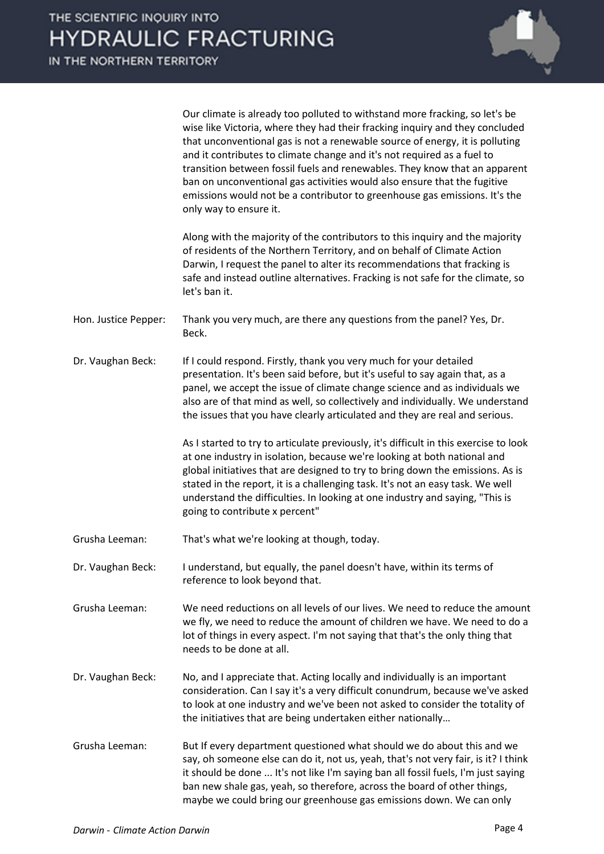

Our climate is already too polluted to withstand more fracking, so let's be wise like Victoria, where they had their fracking inquiry and they concluded that unconventional gas is not a renewable source of energy, it is polluting and it contributes to climate change and it's not required as a fuel to transition between fossil fuels and renewables. They know that an apparent ban on unconventional gas activities would also ensure that the fugitive emissions would not be a contributor to greenhouse gas emissions. It's the only way to ensure it.

Along with the majority of the contributors to this inquiry and the majority of residents of the Northern Territory, and on behalf of Climate Action Darwin, I request the panel to alter its recommendations that fracking is safe and instead outline alternatives. Fracking is not safe for the climate, so let's ban it.

- Hon. Justice Pepper: Thank you very much, are there any questions from the panel? Yes, Dr. Beck.
- Dr. Vaughan Beck: If I could respond. Firstly, thank you very much for your detailed presentation. It's been said before, but it's useful to say again that, as a panel, we accept the issue of climate change science and as individuals we also are of that mind as well, so collectively and individually. We understand the issues that you have clearly articulated and they are real and serious.

As I started to try to articulate previously, it's difficult in this exercise to look at one industry in isolation, because we're looking at both national and global initiatives that are designed to try to bring down the emissions. As is stated in the report, it is a challenging task. It's not an easy task. We well understand the difficulties. In looking at one industry and saying, "This is going to contribute x percent"

- Grusha Leeman: That's what we're looking at though, today.
- Dr. Vaughan Beck: I understand, but equally, the panel doesn't have, within its terms of reference to look beyond that.

Grusha Leeman: We need reductions on all levels of our lives. We need to reduce the amount we fly, we need to reduce the amount of children we have. We need to do a lot of things in every aspect. I'm not saying that that's the only thing that needs to be done at all.

- Dr. Vaughan Beck: No, and I appreciate that. Acting locally and individually is an important consideration. Can I say it's a very difficult conundrum, because we've asked to look at one industry and we've been not asked to consider the totality of the initiatives that are being undertaken either nationally…
- Grusha Leeman: But If every department questioned what should we do about this and we say, oh someone else can do it, not us, yeah, that's not very fair, is it? I think it should be done ... It's not like I'm saying ban all fossil fuels, I'm just saying ban new shale gas, yeah, so therefore, across the board of other things, maybe we could bring our greenhouse gas emissions down. We can only